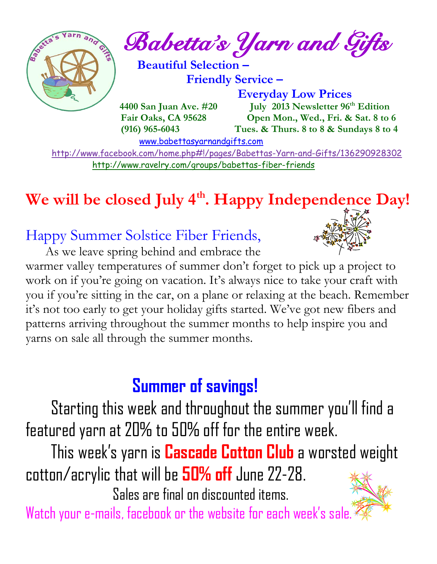

<http://www.ravelry.com/groups/babettas-fiber-friends>

## **We will be closed July 4th. Happy Independence Day!**

## Happy Summer Solstice Fiber Friends,



 As we leave spring behind and embrace the warmer valley temperatures of summer don't forget to pick up a project to work on if you're going on vacation. It's always nice to take your craft with you if you're sitting in the car, on a plane or relaxing at the beach. Remember it's not too early to get your holiday gifts started. We've got new fibers and patterns arriving throughout the summer months to help inspire you and yarns on sale all through the summer months.

## **Summer of savings!**

 Starting this week and throughout the summer you 'll find a featured yarn at 20% to 50% off for the entire week.

 This week's yarn is **Cascade Cotton Club** a worsted weight cotton/acrylic that will be **50% off** June 22-28.

Sales are final on discounted items.



Watch your e-mails, facebook or the website for each week's sale.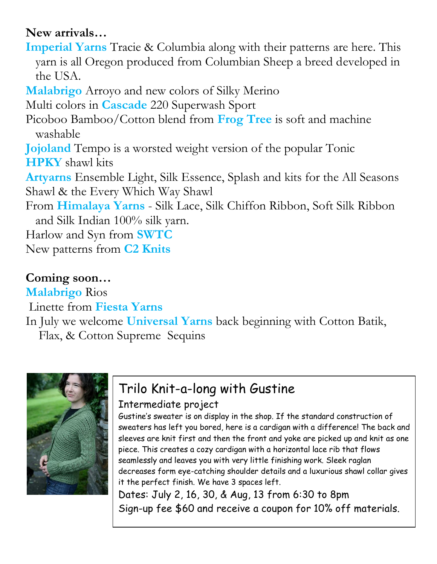#### **New arrivals…**

**Imperial Yarns** Tracie & Columbia along with their patterns are here. This yarn is all Oregon produced from Columbian Sheep a breed developed in the USA.

**Malabrigo** Arroyo and new colors of Silky Merino

Multi colors in **Cascade** 220 Superwash Sport

Picoboo Bamboo/Cotton blend from **Frog Tree** is soft and machine washable

**Jojoland** Tempo is a worsted weight version of the popular Tonic **HPKY** shawl kits

**Artyarns** Ensemble Light, Silk Essence, Splash and kits for the All Seasons Shawl & the Every Which Way Shawl

From **Himalaya Yarns** - Silk Lace, Silk Chiffon Ribbon, Soft Silk Ribbon and Silk Indian 100% silk yarn.

Harlow and Syn from **SWTC**

New patterns from **C2 Knits**

### **Coming soon…**

**Malabrigo** Rios

Linette from **Fiesta Yarns**

In July we welcome **Universal Yarns** back beginning with Cotton Batik, Flax, & Cotton Supreme Sequins



### Trilo Knit-a-long with Gustine Intermediate project

Gustine's sweater is on display in the shop. If the standard construction of sweaters has left you bored, here is a cardigan with a difference! The back and sleeves are knit first and then the front and yoke are picked up and knit as one piece. This creates a cozy cardigan with a horizontal lace rib that flows seamlessly and leaves you with very little finishing work. Sleek raglan decreases form eye-catching shoulder details and a luxurious shawl collar gives it the perfect finish. We have 3 spaces left.

Dates: July 2, 16, 30, & Aug, 13 from 6:30 to 8pm Sign-up fee \$60 and receive a coupon for 10% off materials.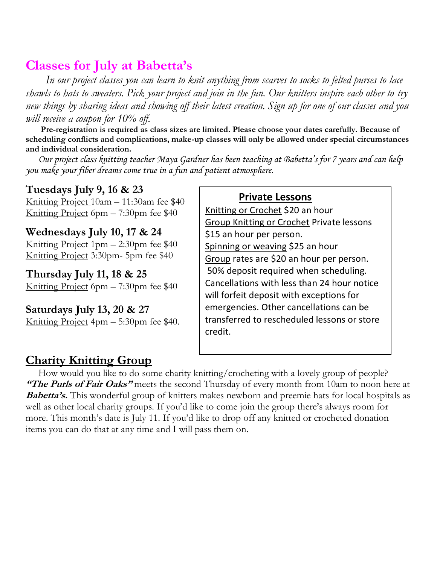### **Classes for July at Babetta's**

 *In our project classes you can learn to knit anything from scarves to socks to felted purses to lace shawls to hats to sweaters. Pick your project and join in the fun. Our knitters inspire each other to try new things by sharing ideas and showing off their latest creation. Sign up for one of our classes and you will receive a coupon for 10% off.*

 **Pre-registration is required as class sizes are limited. Please choose your dates carefully. Because of scheduling conflicts and complications, make-up classes will only be allowed under special circumstances and individual consideration.**

*Our project class knitting teacher Maya Gardner has been teaching at Babetta's for 7 years and can help you make your fiber dreams come true in a fun and patient atmosphere.*

#### **Tuesdays July 9, 16 & 23**

Knitting Project 10am – 11:30am fee \$40 Knitting Project 6pm – 7:30pm fee \$40

#### **Wednesdays July 10, 17 & 24**

Knitting Project  $1pm - 2:30pm$  fee \$40 Knitting Project 3:30pm- 5pm fee \$40

#### **Thursday July 11, 18 & 25**

Knitting Project 6pm – 7:30pm fee \$40

#### **Saturdays July 13, 20 & 27**

Knitting Project 4pm – 5:30pm fee \$40.

#### **Private Lessons**

Knitting or Crochet \$20 an hour Group Knitting or Crochet Private lessons \$15 an hour per person. Spinning or weaving \$25 an hour Group rates are \$20 an hour per person. 50% deposit required when scheduling. Cancellations with less than 24 hour notice will forfeit deposit with exceptions for emergencies. Other cancellations can be transferred to rescheduled lessons or store credit.

#### **Charity Knitting Group**

 How would you like to do some charity knitting/crocheting with a lovely group of people? **"The Purls of Fair Oaks"** meets the second Thursday of every month from 10am to noon here at **Babetta's.** This wonderful group of knitters makes newborn and preemie hats for local hospitals as well as other local charity groups. If you'd like to come join the group there's always room for more. This month's date is July 11. If you'd like to drop off any knitted or crocheted donation items you can do that at any time and I will pass them on.